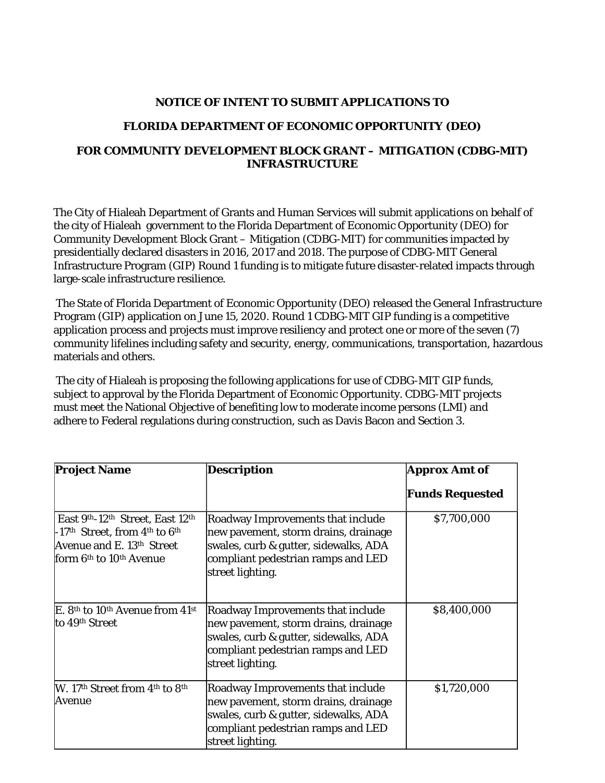## **NOTICE OF INTENT TO SUBMIT APPLICATIONS TO**

## **FLORIDA DEPARTMENT OF ECONOMIC OPPORTUNITY (DEO)**

## **FOR COMMUNITY DEVELOPMENT BLOCK GRANT – MITIGATION (CDBG-MIT) INFRASTRUCTURE**

The City of Hialeah Department of Grants and Human Services will submit applications on behalf of the city of Hialeah government to the Florida Department of Economic Opportunity (DEO) for Community Development Block Grant – Mitigation (CDBG-MIT) for communities impacted by presidentially declared disasters in 2016, 2017 and 2018. The purpose of CDBG-MIT General Infrastructure Program (GIP) Round 1 funding is to mitigate future disaster-related impacts through large-scale infrastructure resilience.

The State of Florida Department of Economic Opportunity (DEO) released the General Infrastructure Program (GIP) application on June 15, 2020. Round 1 CDBG-MIT GIP funding is a competitive application process and projects must improve resiliency and protect one or more of the seven (7) community lifelines including safety and security, energy, communications, transportation, hazardous materials and others.

The city of Hialeah is proposing the following applications for use of CDBG-MIT GIP funds, subject to approval by the Florida Department of Economic Opportunity. CDBG-MIT projects must meet the National Objective of benefiting low to moderate income persons (LMI) and adhere to Federal regulations during construction, such as Davis Bacon and Section 3.

| <b>Project Name</b>                                                                                                                                                                                                       | <b>Description</b>                                                                                                                                                           | <b>Approx Amt of</b>   |
|---------------------------------------------------------------------------------------------------------------------------------------------------------------------------------------------------------------------------|------------------------------------------------------------------------------------------------------------------------------------------------------------------------------|------------------------|
|                                                                                                                                                                                                                           |                                                                                                                                                                              | <b>Funds Requested</b> |
| East 9 <sup>th</sup> -12 <sup>th</sup> Street, East 12 <sup>th</sup><br>-17 <sup>th</sup> Street, from $4^{\text{th}}$ to $6^{\text{th}}$<br>Avenue and E. 13th Street<br>form 6 <sup>th</sup> to 10 <sup>th</sup> Avenue | Roadway Improvements that include<br>new pavement, storm drains, drainage<br>swales, curb & gutter, sidewalks, ADA<br>compliant pedestrian ramps and LED<br>street lighting. | \$7,700,000            |
| E. 8th to 10th Avenue from 41st<br>to 49th Street                                                                                                                                                                         | Roadway Improvements that include<br>new pavement, storm drains, drainage<br>swales, curb & gutter, sidewalks, ADA<br>compliant pedestrian ramps and LED<br>street lighting. | \$8,400,000            |
| W. 17 <sup>th</sup> Street from 4 <sup>th</sup> to 8 <sup>th</sup><br>Avenue                                                                                                                                              | Roadway Improvements that include<br>new pavement, storm drains, drainage<br>swales, curb & gutter, sidewalks, ADA<br>compliant pedestrian ramps and LED<br>street lighting. | \$1,720,000            |